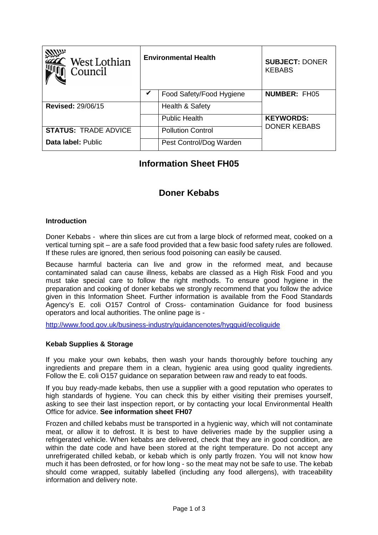| West Lothian<br>Council     | <b>Environmental Health</b> |                          | <b>SUBJECT: DONER</b><br><b>KEBABS</b> |
|-----------------------------|-----------------------------|--------------------------|----------------------------------------|
|                             | V                           | Food Safety/Food Hygiene | <b>NUMBER: FH05</b>                    |
| <b>Revised: 29/06/15</b>    |                             | Health & Safety          |                                        |
|                             |                             | <b>Public Health</b>     | <b>KEYWORDS:</b>                       |
| <b>STATUS: TRADE ADVICE</b> |                             | <b>Pollution Control</b> | <b>DONER KEBABS</b>                    |
| Data label: Public          |                             | Pest Control/Dog Warden  |                                        |

# **Information Sheet FH05**

# **Doner Kebabs**

### **Introduction**

Doner Kebabs - where thin slices are cut from a large block of reformed meat, cooked on a vertical turning spit – are a safe food provided that a few basic food safety rules are followed. If these rules are ignored, then serious food poisoning can easily be caused.

Because harmful bacteria can live and grow in the reformed meat, and because contaminated salad can cause illness, kebabs are classed as a High Risk Food and you must take special care to follow the right methods. To ensure good hygiene in the preparation and cooking of doner kebabs we strongly recommend that you follow the advice given in this Information Sheet. Further information is available from the Food Standards Agency's E. coli O157 Control of Cross- contamination Guidance for food business operators and local authorities. The online page is -

http://www.food.gov.uk/business-industry/guidancenotes/hygguid/ecoliguide

### **Kebab Supplies & Storage**

If you make your own kebabs, then wash your hands thoroughly before touching any ingredients and prepare them in a clean, hygienic area using good quality ingredients. Follow the E. coli O157 guidance on separation between raw and ready to eat foods.

If you buy ready-made kebabs, then use a supplier with a good reputation who operates to high standards of hygiene. You can check this by either visiting their premises yourself, asking to see their last inspection report, or by contacting your local Environmental Health Office for advice. **See information sheet FH07**

Frozen and chilled kebabs must be transported in a hygienic way, which will not contaminate meat, or allow it to defrost. It is best to have deliveries made by the supplier using a refrigerated vehicle. When kebabs are delivered, check that they are in good condition, are within the date code and have been stored at the right temperature. Do not accept any unrefrigerated chilled kebab, or kebab which is only partly frozen. You will not know how much it has been defrosted, or for how long - so the meat may not be safe to use. The kebab should come wrapped, suitably labelled (including any food allergens), with traceability information and delivery note.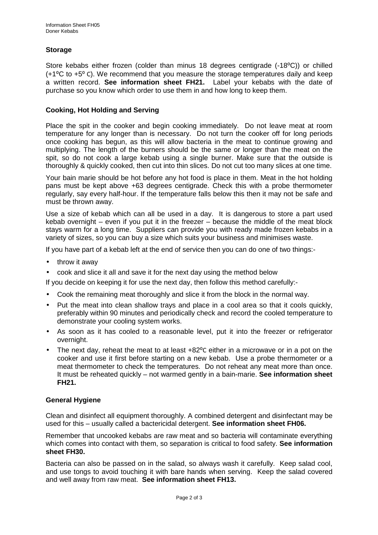### **Storage**

Store kebabs either frozen (colder than minus 18 degrees centigrade (-18°C)) or chilled  $(+1\degree C$  to  $+5\degree C$ ). We recommend that you measure the storage temperatures daily and keep a written record. **See information sheet FH21.** Label your kebabs with the date of purchase so you know which order to use them in and how long to keep them.

#### **Cooking, Hot Holding and Serving**

Place the spit in the cooker and begin cooking immediately. Do not leave meat at room temperature for any longer than is necessary. Do not turn the cooker off for long periods once cooking has begun, as this will allow bacteria in the meat to continue growing and multiplying. The length of the burners should be the same or longer than the meat on the spit, so do not cook a large kebab using a single burner. Make sure that the outside is thoroughly & quickly cooked, then cut into thin slices. Do not cut too many slices at one time.

Your bain marie should be hot before any hot food is place in them. Meat in the hot holding pans must be kept above +63 degrees centigrade. Check this with a probe thermometer regularly, say every half-hour. If the temperature falls below this then it may not be safe and must be thrown away.

Use a size of kebab which can all be used in a day. It is dangerous to store a part used kebab overnight – even if you put it in the freezer – because the middle of the meat block stays warm for a long time. Suppliers can provide you with ready made frozen kebabs in a variety of sizes, so you can buy a size which suits your business and minimises waste.

If you have part of a kebab left at the end of service then you can do one of two things:-

- throw it away
- cook and slice it all and save it for the next day using the method below

If you decide on keeping it for use the next day, then follow this method carefully:-

- Cook the remaining meat thoroughly and slice it from the block in the normal way.
- Put the meat into clean shallow trays and place in a cool area so that it cools quickly, preferably within 90 minutes and periodically check and record the cooled temperature to demonstrate your cooling system works.
- As soon as it has cooled to a reasonable level, put it into the freezer or refrigerator overnight.
- The next day, reheat the meat to at least +82<sup>o</sup>C either in a microwave or in a pot on the cooker and use it first before starting on a new kebab. Use a probe thermometer or a meat thermometer to check the temperatures. Do not reheat any meat more than once. It must be reheated quickly – not warmed gently in a bain-marie. **See information sheet FH21.**

### **General Hygiene**

Clean and disinfect all equipment thoroughly. A combined detergent and disinfectant may be used for this – usually called a bactericidal detergent. **See information sheet FH06.**

Remember that uncooked kebabs are raw meat and so bacteria will contaminate everything which comes into contact with them, so separation is critical to food safety. **See information sheet FH30.**

Bacteria can also be passed on in the salad, so always wash it carefully. Keep salad cool, and use tongs to avoid touching it with bare hands when serving. Keep the salad covered and well away from raw meat. **See information sheet FH13.**